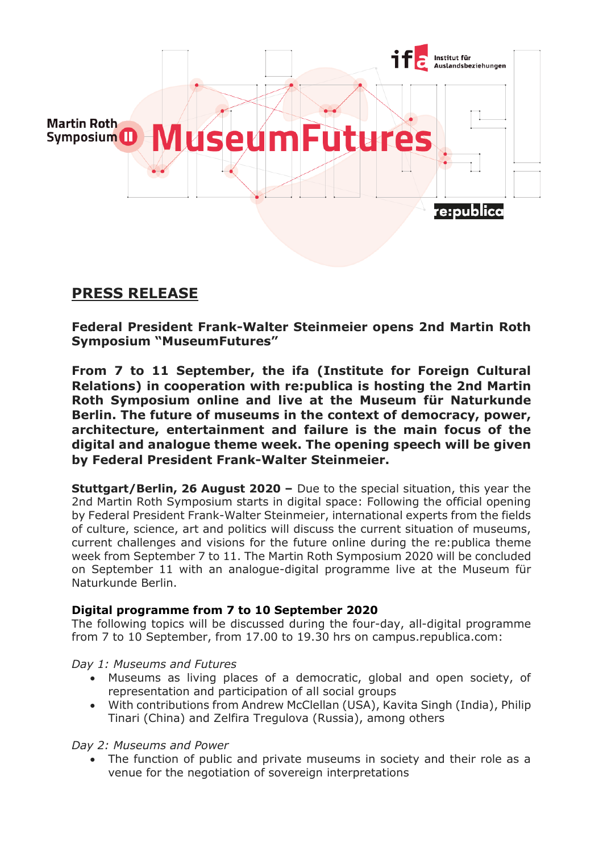

# **PRESS RELEASE**

**Federal President Frank-Walter Steinmeier opens 2nd Martin Roth Symposium "MuseumFutures"**

**From 7 to 11 September, the ifa (Institute for Foreign Cultural Relations) in cooperation with re:publica is hosting the 2nd Martin Roth Symposium online and live at the Museum für Naturkunde Berlin. The future of museums in the context of democracy, power, architecture, entertainment and failure is the main focus of the digital and analogue theme week. The opening speech will be given by Federal President Frank-Walter Steinmeier.**

**Stuttgart/Berlin, 26 August 2020 –** Due to the special situation, this year the 2nd Martin Roth Symposium starts in digital space: Following the official opening by Federal President Frank-Walter Steinmeier, international experts from the fields of culture, science, art and politics will discuss the current situation of museums, current challenges and visions for the future online during the re:publica theme week from September 7 to 11. The Martin Roth Symposium 2020 will be concluded on September 11 with an analogue-digital programme live at the Museum für Naturkunde Berlin.

## **Digital programme from 7 to 10 September 2020**

The following topics will be discussed during the four-day, all-digital programme from 7 to 10 September, from 17.00 to 19.30 hrs on campus.republica.com:

*Day 1: Museums and Futures*

- Museums as living places of a democratic, global and open society, of representation and participation of all social groups
- With contributions from Andrew McClellan (USA), Kavita Singh (India), Philip Tinari (China) and Zelfira Tregulova (Russia), among others

### *Day 2: Museums and Power*

 The function of public and private museums in society and their role as a venue for the negotiation of sovereign interpretations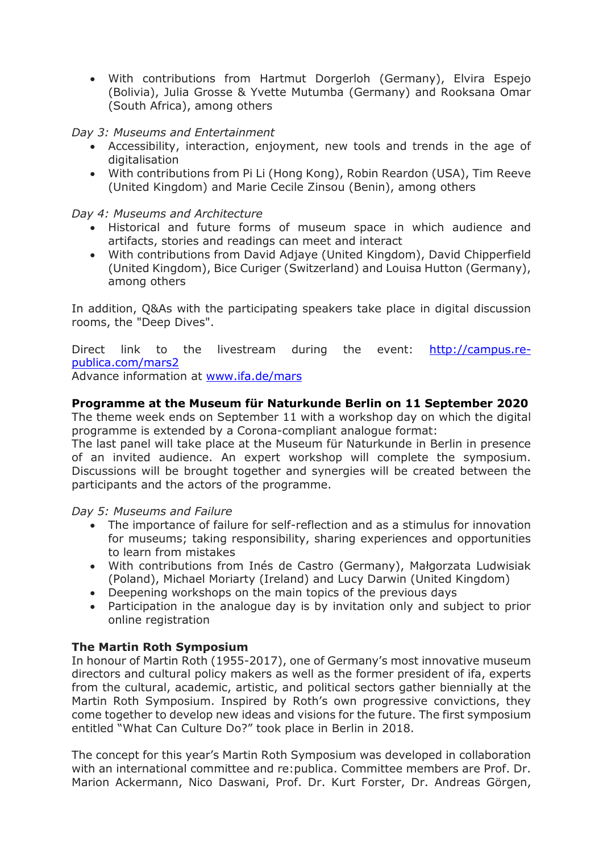With contributions from Hartmut Dorgerloh (Germany), Elvira Espejo (Bolivia), Julia Grosse & Yvette Mutumba (Germany) and Rooksana Omar (South Africa), among others

### *Day 3: Museums and Entertainment*

- Accessibility, interaction, enjoyment, new tools and trends in the age of digitalisation
- With contributions from Pi Li (Hong Kong), Robin Reardon (USA), Tim Reeve (United Kingdom) and Marie Cecile Zinsou (Benin), among others

### *Day 4: Museums and Architecture*

- Historical and future forms of museum space in which audience and artifacts, stories and readings can meet and interact
- With contributions from David Adjaye (United Kingdom), David Chipperfield (United Kingdom), Bice Curiger (Switzerland) and Louisa Hutton (Germany), among others

In addition, Q&As with the participating speakers take place in digital discussion rooms, the "Deep Dives".

Direct link to the livestream during the event: [http://campus.re](http://campus.re-publica.com/mars2)[publica.com/mars2](http://campus.re-publica.com/mars2)

Advance information at [www.ifa.de/mars](http://www.ifa.de/mars)

### **Programme at the Museum für Naturkunde Berlin on 11 September 2020**

The theme week ends on September 11 with a workshop day on which the digital programme is extended by a Corona-compliant analogue format:

The last panel will take place at the Museum für Naturkunde in Berlin in presence of an invited audience. An expert workshop will complete the symposium. Discussions will be brought together and synergies will be created between the participants and the actors of the programme.

*Day 5: Museums and Failure* 

- The importance of failure for self-reflection and as a stimulus for innovation for museums; taking responsibility, sharing experiences and opportunities to learn from mistakes
- With contributions from Inés de Castro (Germany), Małgorzata Ludwisiak (Poland), Michael Moriarty (Ireland) and Lucy Darwin (United Kingdom)
- Deepening workshops on the main topics of the previous days
- Participation in the analogue day is by invitation only and subject to prior online registration

### **The Martin Roth Symposium**

In honour of Martin Roth (1955-2017), one of Germany's most innovative museum directors and cultural policy makers as well as the former president of ifa, experts from the cultural, academic, artistic, and political sectors gather biennially at the Martin Roth Symposium. Inspired by Roth's own progressive convictions, they come together to develop new ideas and visions for the future. The first symposium entitled "What Can Culture Do?" took place in Berlin in 2018.

The concept for this year's Martin Roth Symposium was developed in collaboration with an international committee and re:publica. Committee members are Prof. Dr. Marion Ackermann, Nico Daswani, Prof. Dr. Kurt Forster, Dr. Andreas Görgen,